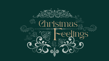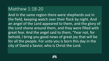And in the same region there were shepherds out in the field, keeping watch over their flock by night. And an angel of the Lord appeared to them, and the glory of the Lord shone around them, and they were filled with great fear. And the angel said to them, "Fear not, for behold, I bring you good news of great joy that will be for all the people. For unto you is born this day in the city of David a Savior, who is Christ the Lord.

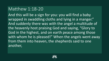And this will be a sign for you: you will find a baby wrapped in swaddling cloths and lying in a manger." And suddenly there was with the angel a multitude of the heavenly host praising God and saying, "Glory to God in the highest, and on earth peace among those with whom he is pleased!" When the angels went away from them into heaven, the shepherds said to one another,

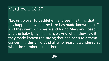"Let us go over to Bethlehem and see this thing that has happened, which the Lord has made known to us." And they went with haste and found Mary and Joseph, and the baby lying in a manger. And when they saw it, they made known the saying that had been told them concerning this child. And all who heard it wondered at what the shepherds told them.

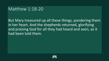But Mary treasured up all these things, pondering them in her heart. And the shepherds returned, glorifying and praising God for all they had heard and seen, as it had been told them.

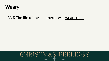

#### Vs 8 The life of the shepherds was wearisome

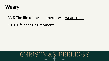

#### Vs 8 The life of the shepherds was wearisome

Vs 9 Life changing moment

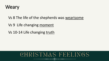

Vs 8 The life of the shepherds was wearisome

Vs 9 Life changing moment

Vs 10-14 Life changing truth

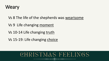

- Vs 8 The life of the shepherds was wearisome
- Vs 9 Life changing moment
- Vs 10-14 Life changing truth
- Vs 15-19: Life changing choice

# CHRISTMAS FEELINGS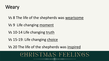

- Vs 8 The life of the shepherds was wearisome
- Vs 9 Life changing moment
- Vs 10-14 Life changing truth
- Vs 15-19: Life changing choice
- Vs 20 The life of the shepherds was inspired

# CHRISTMAS FEELINGS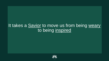### It takes a **Savior** to move us from being weary to being inspired

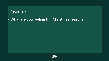#### - What are you feeling this Christmas season?

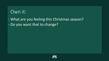- What are you feeling this Christmas season? - Do you want that to change?

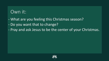- What are you feeling this Christmas season?
- Do you want that to change?
- Pray and ask Jesus to be the center of your Christmas.

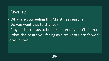- What are you feeling this Christmas season?
- Do you want that to change?
- Pray and ask Jesus to be the center of your Christmas.
- What choice are you facing as a result of Christ's work in your life?